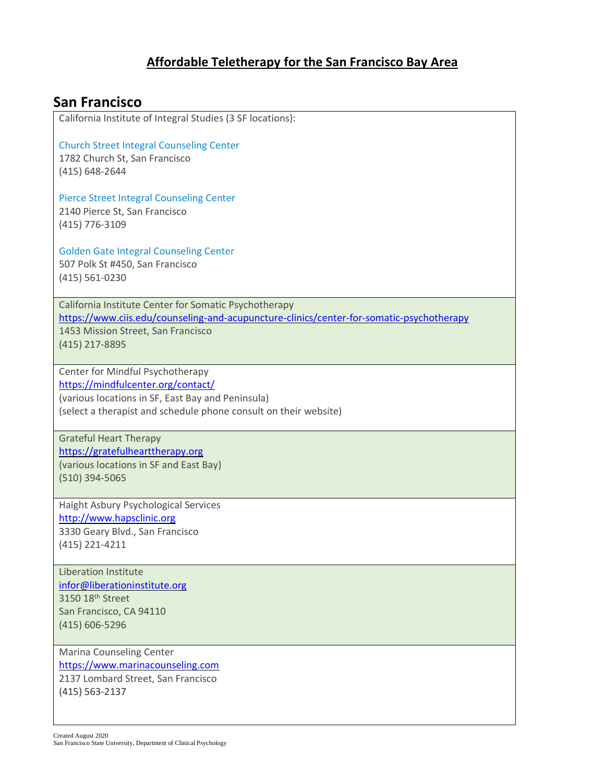#### **Affordable Teletherapy for the San Francisco Bay Area**

# [Church Street Integral Counseling Center](https://www.ciis.edu/counseling-and-acupuncture-clinics/church-street-integral-counseling-center) 1782 Church St, San Francisco (415) 648-2644 [Pierce Street Integral Counseling Center](https://www.ciis.edu/counseling-and-acupuncture-clinics/integral-counseling-center-at-pierce-street) 2140 Pierce St, San Francisco (415) 776-3109 [Golden Gate Integral Counseling Center](https://www.ciis.edu/counseling-and-acupuncture-clinics/golden-gate-integral-counseling-center) 507 Polk St #450, San Francisco (415) 561-0230 California Institute Center for Somatic Psychotherapy <https://www.ciis.edu/counseling-and-acupuncture-clinics/center-for-somatic-psychotherapy> 1453 Mission Street, San Francisco (415) 217-8895 Center for Mindful Psychotherapy <https://mindfulcenter.org/contact/> (various locations in SF, East Bay and Peninsula) (select a therapist and schedule phone consult on their website) Grateful Heart Therapy [https://gratefulhearttherapy.org](https://gratefulhearttherapy.org/) (various locations in SF and East Bay) (510) 394-5065 Haight Asbury Psychological Services [http://www.hapsclinic.org](http://www.hapsclinic.org/) 3330 Geary Blvd., San Francisco (415) 221-4211 Liberation Institute [infor@liberationinstitute.org](mailto:infor@liberationinstitute.org) 3150 18th Street San Francisco, CA 94110 (415) 606-5296 Marina Counseling Center [https://www.marinacounseling.com](https://www.marinacounseling.com/) 2137 Lombard Street, San Francisco (415) 563-2137

**San Francisco** 

California Institute of Integral Studies (3 SF locations):